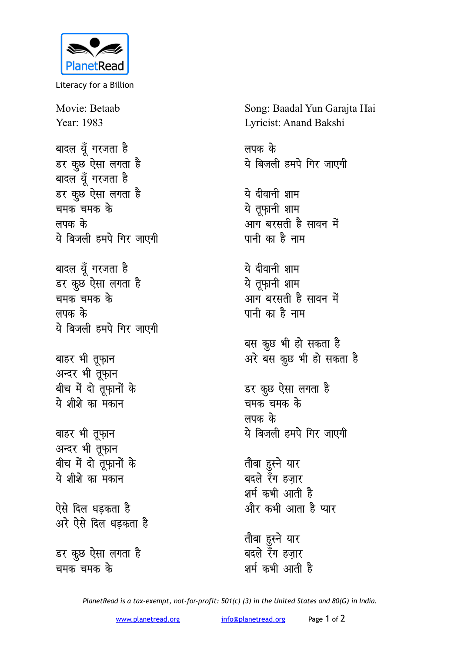

Literacy for a Billion

Movie: Betaab Year: 1983

बादल यूँ गरजता है डर कुछ ऐसा लगता है बादल यूँ गरजता है डर कुछ ऐसा लगता है <u>चमक चमक के</u> **लपक** के ये बिजली हमपे गिर जाएगी

बादल यूँ गरजता है डर कुछ<sup>ें</sup>ऐसा लगता है <u>चमक चमक के</u> लपक के ये बिजली हमपे गिर जाएगी

बाहर भी तूफ़ान अन्दर भी तूफ़ान बीच में दो तूफ़ानों के <u>ये शीशे का मकान</u>

बाहर भी तू्फ़ान अन्दर भी तूफ़ान बीच में दो तूफ़ानों के ये शीशे का मकान

**ऐसे दिल धडकता है** अरे ऐसे दिल धड़कता ह<del>ै</del>

डर कुछ ऐसा लगता है <u>चमक चमक के</u>

Song: Baadal Yun Garajta Hai Lyricist: Anand Bakshi

लपक के ये बिजली हमपे गिर जाएगी

ये दीवानी शाम ये तूफ़ानी शाम आग बरसती है सावन में <u>पानी का है नाम</u>

ये दीवानी शाम <u>ये तूफानी शाम</u> <u>आग बरसती है सावन में</u> <u>पानी का है नाम</u>

बस कुछ भी हो सकता है अरे बस कुछ भी हो सकता है

डर कूछ ऐसा लगता ह<del>ै</del> चमक चमक के लपक के ये बिजली हमपे गिर जाएगी

तोबा हुस्ने यार बदले रॅंग हज़ार शर्म कभी आती है और कभी आता है प्यार

<u>तौबा हु</u>स्ने यार बदले रॅंग **हजा**र शर्म कभी आती है

*PlanetRead is a tax-exempt, not-for-profit: 501(c) (3) in the United States and 80(G) in India.*